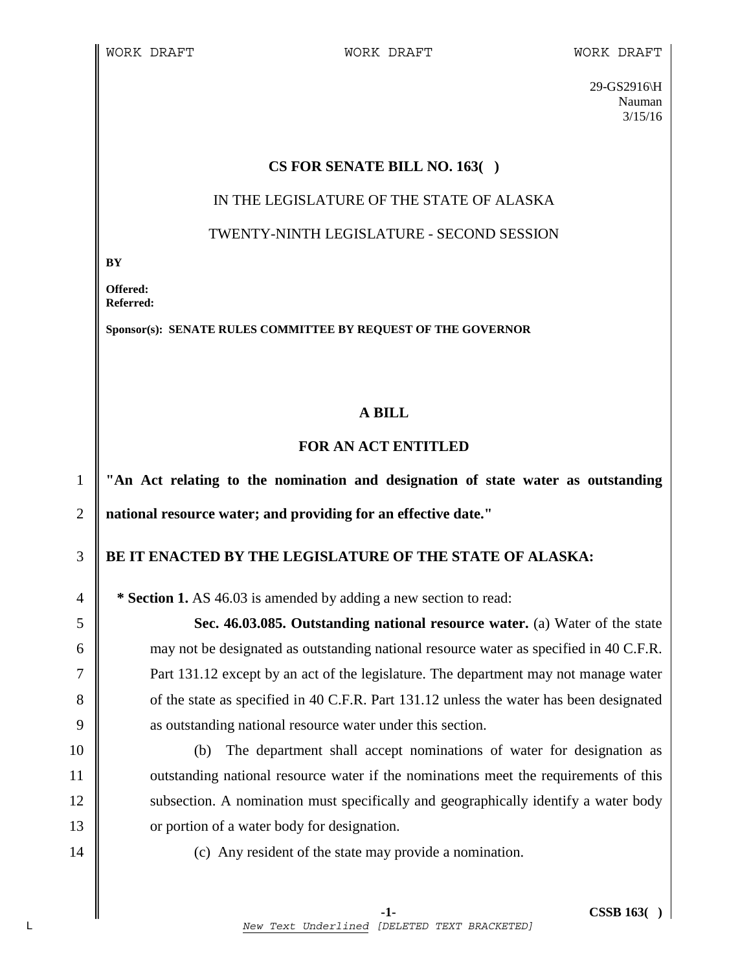29-GS2916\H Nauman 3/15/16

#### **CS FOR SENATE BILL NO. 163( )**

#### IN THE LEGISLATURE OF THE STATE OF ALASKA

#### TWENTY-NINTH LEGISLATURE - SECOND SESSION

**BY** 

**Offered: Referred:** 

**Sponsor(s): SENATE RULES COMMITTEE BY REQUEST OF THE GOVERNOR** 

## **A BILL**

## **FOR AN ACT ENTITLED**

1 **"An Act relating to the nomination and designation of state water as outstanding**  2 **national resource water; and providing for an effective date."** 

# 3 **BE IT ENACTED BY THE LEGISLATURE OF THE STATE OF ALASKA:**

4 **\* Section 1.** AS 46.03 is amended by adding a new section to read:

5 **Sec. 46.03.085. Outstanding national resource water.** (a) Water of the state 6 may not be designated as outstanding national resource water as specified in 40 C.F.R. 7 **Part 131.12** except by an act of the legislature. The department may not manage water 8 of the state as specified in 40 C.F.R. Part 131.12 unless the water has been designated 9 as outstanding national resource water under this section.

10 (b) The department shall accept nominations of water for designation as 11 | outstanding national resource water if the nominations meet the requirements of this 12 | subsection. A nomination must specifically and geographically identify a water body 13 **or** portion of a water body for designation.

14 | (c) Any resident of the state may provide a nomination.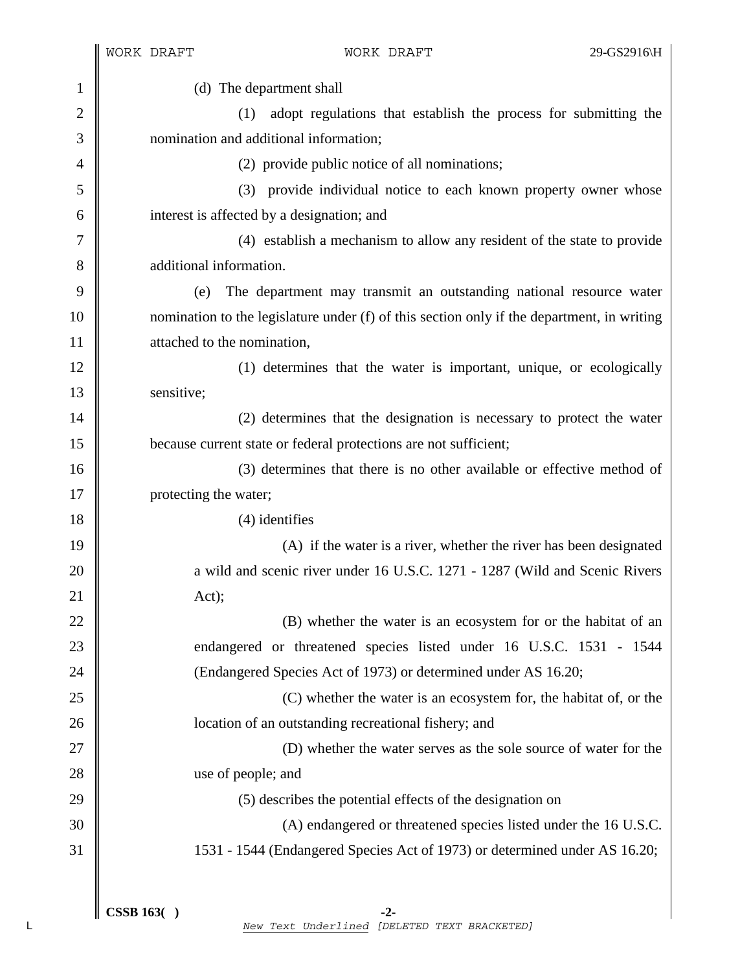|                | WORK DRAFT                                                                                 | WORK DRAFT                                                                  | 29-GS2916\H |
|----------------|--------------------------------------------------------------------------------------------|-----------------------------------------------------------------------------|-------------|
| $\mathbf{1}$   | (d) The department shall                                                                   |                                                                             |             |
| $\mathbf{2}$   | (1)                                                                                        | adopt regulations that establish the process for submitting the             |             |
| 3              |                                                                                            | nomination and additional information;                                      |             |
| $\overline{4}$ |                                                                                            | (2) provide public notice of all nominations;                               |             |
| 5              |                                                                                            | (3) provide individual notice to each known property owner whose            |             |
| 6              |                                                                                            | interest is affected by a designation; and                                  |             |
| 7              |                                                                                            | (4) establish a mechanism to allow any resident of the state to provide     |             |
| 8              | additional information.                                                                    |                                                                             |             |
| 9              | (e)                                                                                        | The department may transmit an outstanding national resource water          |             |
| 10             | nomination to the legislature under (f) of this section only if the department, in writing |                                                                             |             |
| 11             | attached to the nomination,                                                                |                                                                             |             |
| 12             |                                                                                            | (1) determines that the water is important, unique, or ecologically         |             |
| 13             | sensitive;                                                                                 |                                                                             |             |
| 14             |                                                                                            | (2) determines that the designation is necessary to protect the water       |             |
| 15             |                                                                                            | because current state or federal protections are not sufficient;            |             |
| 16             |                                                                                            | (3) determines that there is no other available or effective method of      |             |
| 17             | protecting the water;                                                                      |                                                                             |             |
| 18             |                                                                                            | $(4)$ identifies                                                            |             |
| 19             |                                                                                            | (A) if the water is a river, whether the river has been designated          |             |
| 20             |                                                                                            | a wild and scenic river under 16 U.S.C. 1271 - 1287 (Wild and Scenic Rivers |             |
| 21             | Act);                                                                                      |                                                                             |             |
| 22             |                                                                                            | (B) whether the water is an ecosystem for or the habitat of an              |             |
| 23             |                                                                                            | endangered or threatened species listed under 16 U.S.C. 1531 - 1544         |             |
| 24             |                                                                                            | (Endangered Species Act of 1973) or determined under AS 16.20;              |             |
| 25             |                                                                                            | (C) whether the water is an ecosystem for, the habitat of, or the           |             |
| 26             |                                                                                            | location of an outstanding recreational fishery; and                        |             |
| 27             |                                                                                            | (D) whether the water serves as the sole source of water for the            |             |
| 28             | use of people; and                                                                         |                                                                             |             |
| 29             |                                                                                            | (5) describes the potential effects of the designation on                   |             |
| 30             |                                                                                            | (A) endangered or threatened species listed under the 16 U.S.C.             |             |
| 31             |                                                                                            | 1531 - 1544 (Endangered Species Act of 1973) or determined under AS 16.20;  |             |
|                |                                                                                            |                                                                             |             |